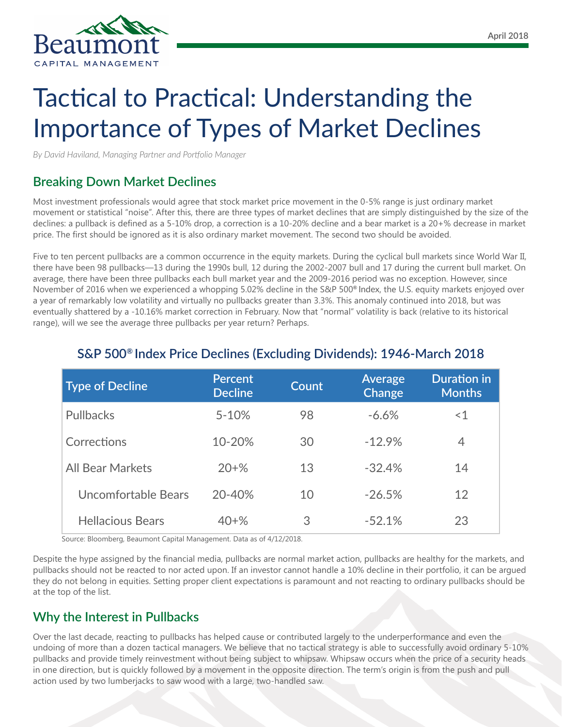

# Tactical to Practical: Understanding the Importance of Types of Market Declines

*By David Haviland, Managing Partner and Portfolio Manager*

## **Breaking Down Market Declines**

Most investment professionals would agree that stock market price movement in the 0-5% range is just ordinary market movement or statistical "noise". After this, there are three types of market declines that are simply distinguished by the size of the declines: a pullback is defined as a 5-10% drop, a correction is a 10-20% decline and a bear market is a 20+% decrease in market price. The first should be ignored as it is also ordinary market movement. The second two should be avoided.

Five to ten percent pullbacks are a common occurrence in the equity markets. During the cyclical bull markets since World War II, there have been 98 pullbacks—13 during the 1990s bull, 12 during the 2002-2007 bull and 17 during the current bull market. On average, there have been three pullbacks each bull market year and the 2009-2016 period was no exception. However, since November of 2016 when we experienced a whopping 5.02% decline in the S&P 500**®** Index, the U.S. equity markets enjoyed over a year of remarkably low volatility and virtually no pullbacks greater than 3.3%. This anomaly continued into 2018, but was eventually shattered by a -10.16% market correction in February. Now that "normal" volatility is back (relative to its historical range), will we see the average three pullbacks per year return? Perhaps.

| <b>Type of Decline</b>  | <b>Percent</b><br><b>Decline</b> | <b>Count</b> | Average<br>Change | <b>Duration in</b><br><b>Months</b> |
|-------------------------|----------------------------------|--------------|-------------------|-------------------------------------|
| <b>Pullbacks</b>        | $5 - 10%$                        | 98           | $-6.6%$           | ~1                                  |
| Corrections             | 10-20%                           | 30           | $-12.9%$          | 4                                   |
| <b>All Bear Markets</b> | $20 + \%$                        | 13           | $-32.4%$          | 14                                  |
| Uncomfortable Bears     | 20-40%                           | 10           | $-26.5%$          | 12                                  |
| <b>Hellacious Bears</b> | $40 + \%$                        | 3            | $-52.1%$          | 23                                  |

## **S&P 500® Index Price Declines (Excluding Dividends): 1946-March 2018**

Source: Bloomberg, Beaumont Capital Management. Data as of 4/12/2018.

Despite the hype assigned by the financial media, pullbacks are normal market action, pullbacks are healthy for the markets, and pullbacks should not be reacted to nor acted upon. If an investor cannot handle a 10% decline in their portfolio, it can be argued they do not belong in equities. Setting proper client expectations is paramount and not reacting to ordinary pullbacks should be at the top of the list.

## **Why the Interest in Pullbacks**

Over the last decade, reacting to pullbacks has helped cause or contributed largely to the underperformance and even the undoing of more than a dozen tactical managers. We believe that no tactical strategy is able to successfully avoid ordinary 5-10% pullbacks and provide timely reinvestment without being subject to whipsaw. Whipsaw occurs when the price of a security heads in one direction, but is quickly followed by a movement in the opposite direction. The term's origin is from the push and pull action used by two lumberjacks to saw wood with a large, two-handled saw.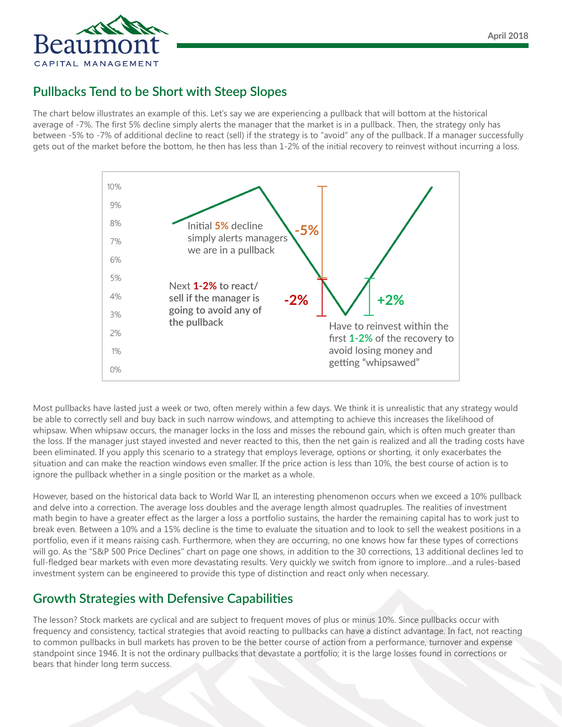

## **Pullbacks Tend to be Short with Steep Slopes**

The chart below illustrates an example of this. Let's say we are experiencing a pullback that will bottom at the historical average of -7%. The first 5% decline simply alerts the manager that the market is in a pullback. Then, the strategy only has between -5% to -7% of additional decline to react (sell) if the strategy is to "avoid" any of the pullback. If a manager successfully gets out of the market before the bottom, he then has less than 1-2% of the initial recovery to reinvest without incurring a loss.



Most pullbacks have lasted just a week or two, often merely within a few days. We think it is unrealistic that any strategy would be able to correctly sell and buy back in such narrow windows, and attempting to achieve this increases the likelihood of whipsaw. When whipsaw occurs, the manager locks in the loss and misses the rebound gain, which is often much greater than the loss. If the manager just stayed invested and never reacted to this, then the net gain is realized and all the trading costs have been eliminated. If you apply this scenario to a strategy that employs leverage, options or shorting, it only exacerbates the situation and can make the reaction windows even smaller. If the price action is less than 10%, the best course of action is to ignore the pullback whether in a single position or the market as a whole.

However, based on the historical data back to World War II, an interesting phenomenon occurs when we exceed a 10% pullback and delve into a correction. The average loss doubles and the average length almost quadruples. The realities of investment math begin to have a greater effect as the larger a loss a portfolio sustains, the harder the remaining capital has to work just to break even. Between a 10% and a 15% decline is the time to evaluate the situation and to look to sell the weakest positions in a portfolio, even if it means raising cash. Furthermore, when they are occurring, no one knows how far these types of corrections will go. As the "S&P 500 Price Declines" chart on page one shows, in addition to the 30 corrections, 13 additional declines led to full-fledged bear markets with even more devastating results. Very quickly we switch from ignore to implore…and a rules-based investment system can be engineered to provide this type of distinction and react only when necessary.

#### **Growth Strategies with Defensive Capabilities**

The lesson? Stock markets are cyclical and are subject to frequent moves of plus or minus 10%. Since pullbacks occur with frequency and consistency, tactical strategies that avoid reacting to pullbacks can have a distinct advantage. In fact, not reacting to common pullbacks in bull markets has proven to be the better course of action from a performance, turnover and expense standpoint since 1946. It is not the ordinary pullbacks that devastate a portfolio; it is the large losses found in corrections or bears that hinder long term success.